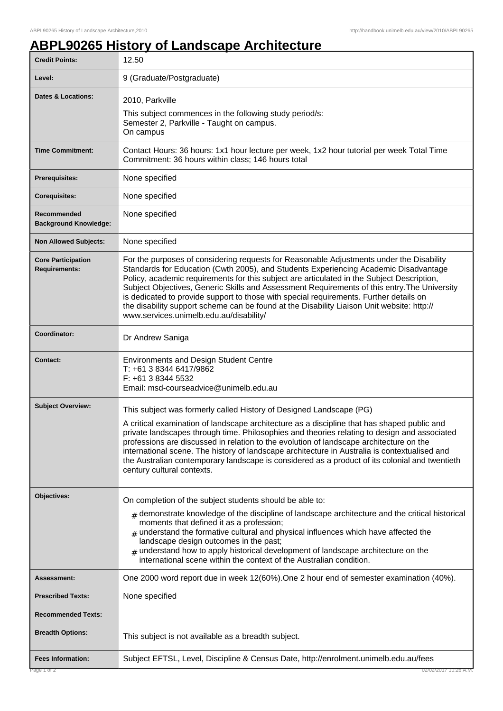## **ABPL90265 History of Landscape Architecture**

| <b>Credit Points:</b>                             | 12.50                                                                                                                                                                                                                                                                                                                                                                                                                                                                                                                                                                                                             |
|---------------------------------------------------|-------------------------------------------------------------------------------------------------------------------------------------------------------------------------------------------------------------------------------------------------------------------------------------------------------------------------------------------------------------------------------------------------------------------------------------------------------------------------------------------------------------------------------------------------------------------------------------------------------------------|
| Level:                                            | 9 (Graduate/Postgraduate)                                                                                                                                                                                                                                                                                                                                                                                                                                                                                                                                                                                         |
| Dates & Locations:                                | 2010, Parkville<br>This subject commences in the following study period/s:<br>Semester 2, Parkville - Taught on campus.<br>On campus                                                                                                                                                                                                                                                                                                                                                                                                                                                                              |
| <b>Time Commitment:</b>                           | Contact Hours: 36 hours: 1x1 hour lecture per week, 1x2 hour tutorial per week Total Time<br>Commitment: 36 hours within class; 146 hours total                                                                                                                                                                                                                                                                                                                                                                                                                                                                   |
| <b>Prerequisites:</b>                             | None specified                                                                                                                                                                                                                                                                                                                                                                                                                                                                                                                                                                                                    |
| <b>Corequisites:</b>                              | None specified                                                                                                                                                                                                                                                                                                                                                                                                                                                                                                                                                                                                    |
| Recommended<br><b>Background Knowledge:</b>       | None specified                                                                                                                                                                                                                                                                                                                                                                                                                                                                                                                                                                                                    |
| <b>Non Allowed Subjects:</b>                      | None specified                                                                                                                                                                                                                                                                                                                                                                                                                                                                                                                                                                                                    |
| <b>Core Participation</b><br><b>Requirements:</b> | For the purposes of considering requests for Reasonable Adjustments under the Disability<br>Standards for Education (Cwth 2005), and Students Experiencing Academic Disadvantage<br>Policy, academic requirements for this subject are articulated in the Subject Description,<br>Subject Objectives, Generic Skills and Assessment Requirements of this entry. The University<br>is dedicated to provide support to those with special requirements. Further details on<br>the disability support scheme can be found at the Disability Liaison Unit website: http://<br>www.services.unimelb.edu.au/disability/ |
| Coordinator:                                      | Dr Andrew Saniga                                                                                                                                                                                                                                                                                                                                                                                                                                                                                                                                                                                                  |
| <b>Contact:</b>                                   | <b>Environments and Design Student Centre</b><br>T: +61 3 8344 6417/9862<br>F: +61 3 8344 5532<br>Email: msd-courseadvice@unimelb.edu.au                                                                                                                                                                                                                                                                                                                                                                                                                                                                          |
| <b>Subject Overview:</b>                          | This subject was formerly called History of Designed Landscape (PG)<br>A critical examination of landscape architecture as a discipline that has shaped public and<br>private landscapes through time. Philosophies and theories relating to design and associated<br>professions are discussed in relation to the evolution of landscape architecture on the<br>international scene. The history of landscape architecture in Australia is contextualised and<br>the Australian contemporary landscape is considered as a product of its colonial and twentieth<br>century cultural contexts.                    |
| <b>Objectives:</b>                                | On completion of the subject students should be able to:<br>$_{\#}$ demonstrate knowledge of the discipline of landscape architecture and the critical historical<br>moments that defined it as a profession;<br>$#$ understand the formative cultural and physical influences which have affected the<br>landscape design outcomes in the past;<br>understand how to apply historical development of landscape architecture on the<br>#<br>international scene within the context of the Australian condition.                                                                                                   |
| Assessment:                                       | One 2000 word report due in week 12(60%). One 2 hour end of semester examination (40%).                                                                                                                                                                                                                                                                                                                                                                                                                                                                                                                           |
| <b>Prescribed Texts:</b>                          | None specified                                                                                                                                                                                                                                                                                                                                                                                                                                                                                                                                                                                                    |
| <b>Recommended Texts:</b>                         |                                                                                                                                                                                                                                                                                                                                                                                                                                                                                                                                                                                                                   |
| <b>Breadth Options:</b>                           | This subject is not available as a breadth subject.                                                                                                                                                                                                                                                                                                                                                                                                                                                                                                                                                               |
| <b>Fees Information:</b>                          | Subject EFTSL, Level, Discipline & Census Date, http://enrolment.unimelb.edu.au/fees                                                                                                                                                                                                                                                                                                                                                                                                                                                                                                                              |
| age 1 of 2                                        |                                                                                                                                                                                                                                                                                                                                                                                                                                                                                                                                                                                                                   |